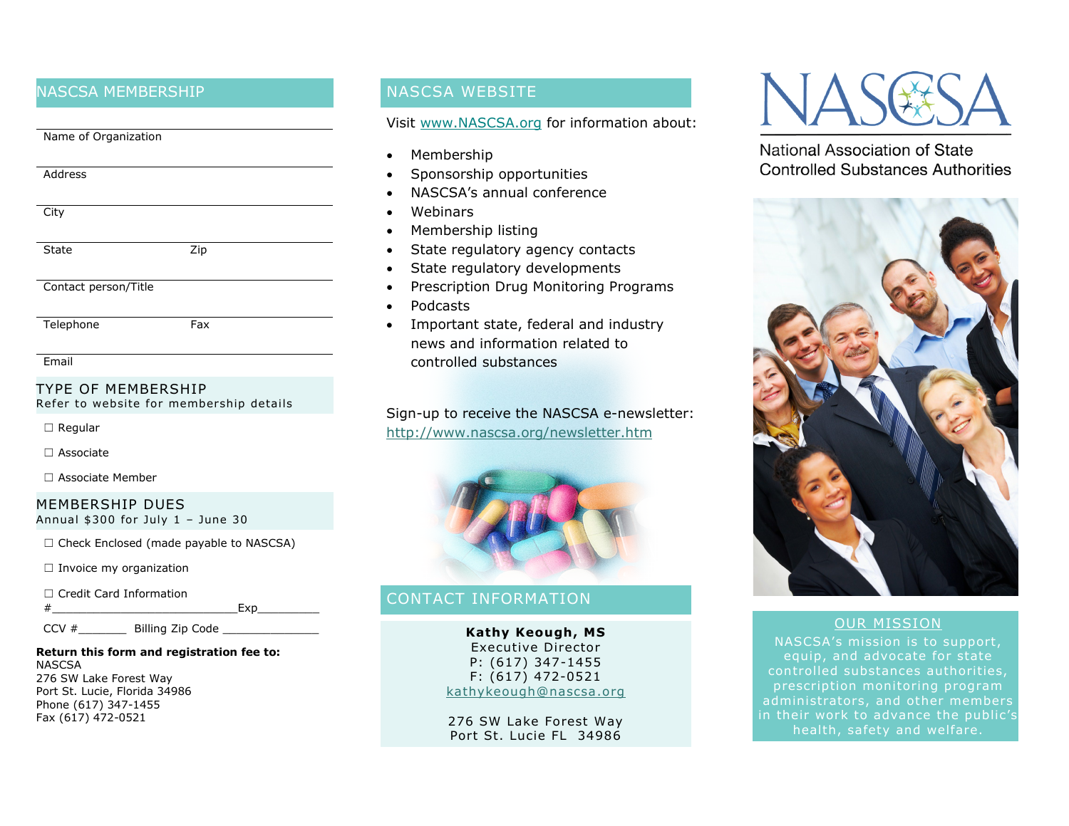### NASCSA MEMBERSHIP

| Name of Organization |     |  |
|----------------------|-----|--|
|                      |     |  |
|                      |     |  |
| Address              |     |  |
|                      |     |  |
|                      |     |  |
| City                 |     |  |
|                      |     |  |
|                      |     |  |
| <b>State</b>         | Zip |  |
|                      |     |  |
|                      |     |  |
| Contact person/Title |     |  |
|                      |     |  |
|                      |     |  |
| Telephone            | Fax |  |

### TYPE OF MEMBERSHIP

Refer to website for membership details

☐ Regular

☐ Associate

☐ Associate Member

#### MEMBERSHIP DUES Annual \$300 for July 1 – June 30

☐ Check Enclosed (made payable to NASCSA)

□ Invoice my organization

☐ Credit Card Information

```
\# Exp
```
CCV #\_\_\_\_\_\_\_ Billing Zip Code \_\_\_\_\_\_\_\_\_\_\_\_\_\_

#### **Return this form and registration fee to: NASCSA**

276 SW Lake Forest Way Port St. Lucie, Florida 34986 Phone (617) 347-1455 Fax (617) 472-0521

### NASCSA WEBSITE

#### Visit [www.NASCSA.org](http://www.nascsa.org/) for information about:

- Membership
- Sponsorship opportunities
- NASCSA's annual conference
- Webinars
- Membership listing
- State regulatory agency contacts
- State regulatory developments
- Prescription Drug Monitoring Programs
- Podcasts
- Important state, federal and industry news and information related to controlled substances

Sign-up to receive the NASCSA e-newsletter: <http://www.nascsa.org/newsletter.htm>



# CONTACT INFORMATION

**Kathy Keough, MS** Executive Director P: (617) 347-1455 F: (617) 472-0521 [kathykeough@nascsa.org](mailto:kathykeough@nascsa.org)

276 SW Lake Forest Way Port St. Lucie FL 34986



National Association of State **Controlled Substances Authorities** 



### OUR MISSION

NASCSA's mission is to support, equip, and advocate for state controlled substances authorities, administrators, and other members in their work to advance the public's health, safety and welfare.

**Email**